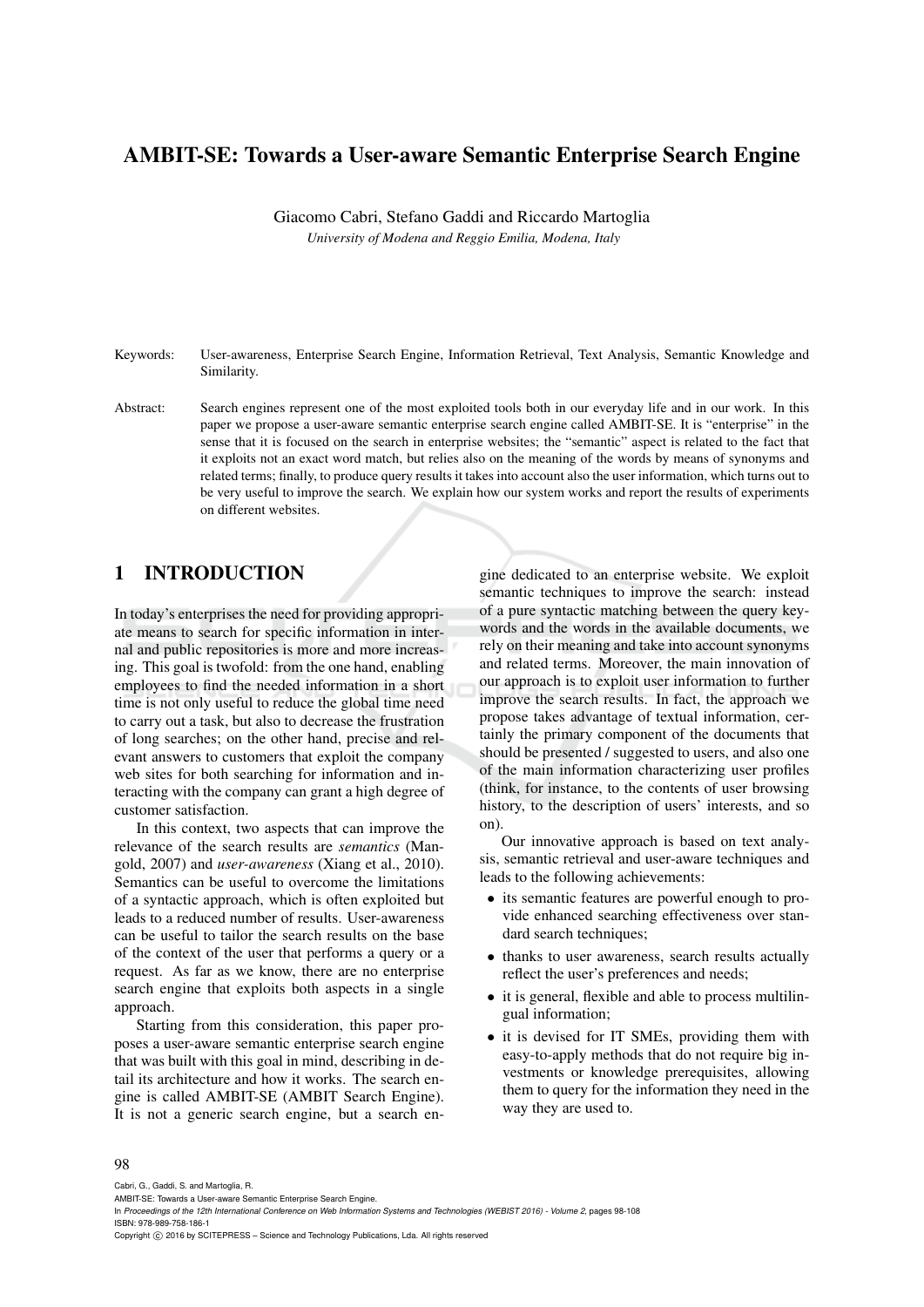## AMBIT-SE: Towards a User-aware Semantic Enterprise Search Engine

Giacomo Cabri, Stefano Gaddi and Riccardo Martoglia *University of Modena and Reggio Emilia, Modena, Italy*

- Keywords: User-awareness, Enterprise Search Engine, Information Retrieval, Text Analysis, Semantic Knowledge and Similarity.
- Abstract: Search engines represent one of the most exploited tools both in our everyday life and in our work. In this paper we propose a user-aware semantic enterprise search engine called AMBIT-SE. It is "enterprise" in the sense that it is focused on the search in enterprise websites; the "semantic" aspect is related to the fact that it exploits not an exact word match, but relies also on the meaning of the words by means of synonyms and related terms; finally, to produce query results it takes into account also the user information, which turns out to be very useful to improve the search. We explain how our system works and report the results of experiments on different websites.

## 1 INTRODUCTION

In today's enterprises the need for providing appropriate means to search for specific information in internal and public repositories is more and more increasing. This goal is twofold: from the one hand, enabling employees to find the needed information in a short time is not only useful to reduce the global time need to carry out a task, but also to decrease the frustration of long searches; on the other hand, precise and relevant answers to customers that exploit the company web sites for both searching for information and interacting with the company can grant a high degree of customer satisfaction.

In this context, two aspects that can improve the relevance of the search results are *semantics* (Mangold, 2007) and *user-awareness* (Xiang et al., 2010). Semantics can be useful to overcome the limitations of a syntactic approach, which is often exploited but leads to a reduced number of results. User-awareness can be useful to tailor the search results on the base of the context of the user that performs a query or a request. As far as we know, there are no enterprise search engine that exploits both aspects in a single approach.

Starting from this consideration, this paper proposes a user-aware semantic enterprise search engine that was built with this goal in mind, describing in detail its architecture and how it works. The search engine is called AMBIT-SE (AMBIT Search Engine). It is not a generic search engine, but a search en-

gine dedicated to an enterprise website. We exploit semantic techniques to improve the search: instead of a pure syntactic matching between the query keywords and the words in the available documents, we rely on their meaning and take into account synonyms and related terms. Moreover, the main innovation of our approach is to exploit user information to further improve the search results. In fact, the approach we propose takes advantage of textual information, certainly the primary component of the documents that should be presented / suggested to users, and also one of the main information characterizing user profiles (think, for instance, to the contents of user browsing history, to the description of users' interests, and so on).

Our innovative approach is based on text analysis, semantic retrieval and user-aware techniques and leads to the following achievements:

- its semantic features are powerful enough to provide enhanced searching effectiveness over standard search techniques;
- thanks to user awareness, search results actually reflect the user's preferences and needs;
- it is general, flexible and able to process multilingual information;
- it is devised for IT SMEs, providing them with easy-to-apply methods that do not require big investments or knowledge prerequisites, allowing them to query for the information they need in the way they are used to.

#### 98

Cabri, G., Gaddi, S. and Martoglia, R.

AMBIT-SE: Towards a User-aware Semantic Enterprise Search Engine.

Copyright C 2016 by SCITEPRESS – Science and Technology Publications, Lda. All rights reserved

In *Proceedings of the 12th International Conference on Web Information Systems and Technologies (WEBIST 2016) - Volume 2*, pages 98-108 ISBN: 978-989-758-186-1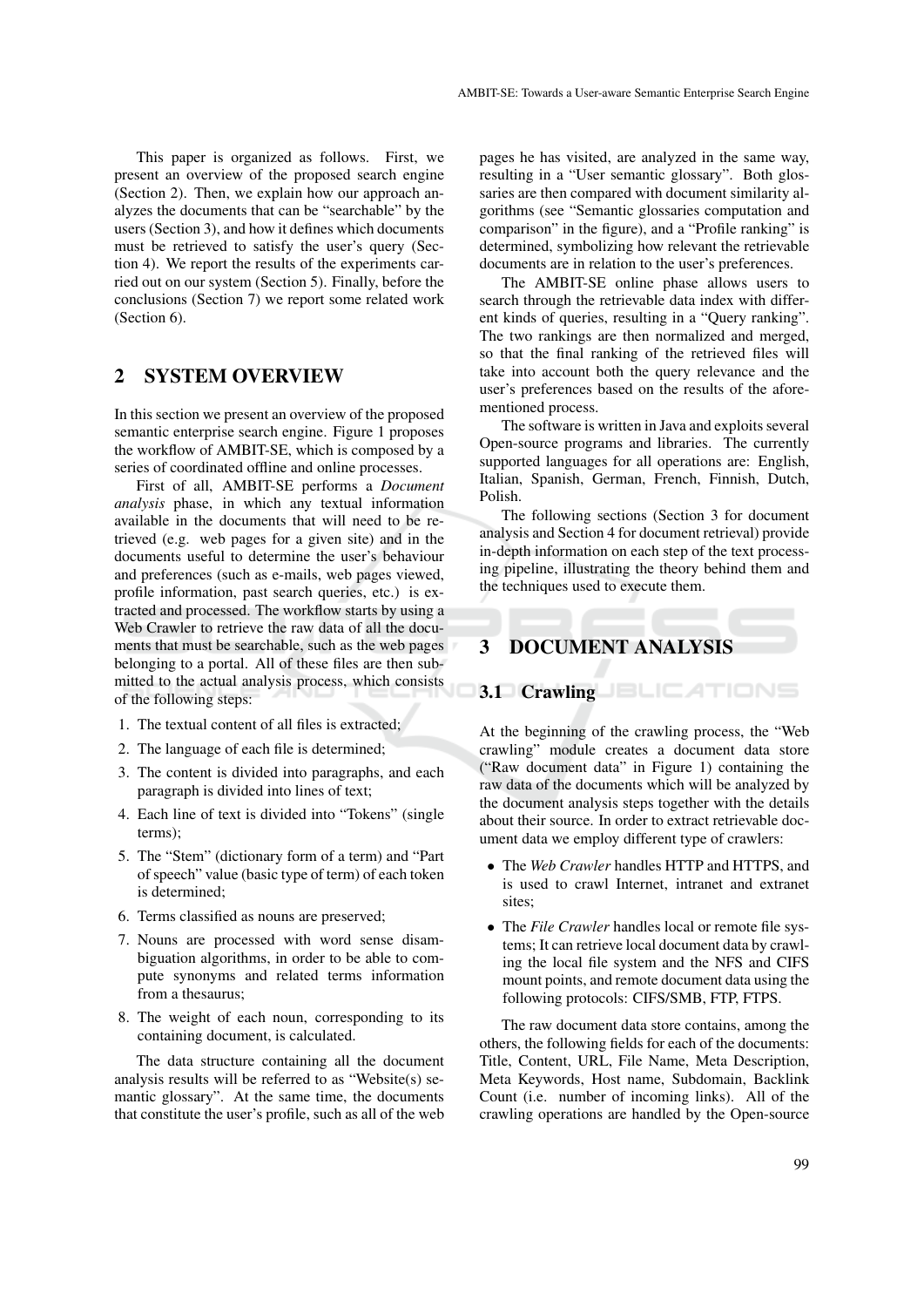This paper is organized as follows. First, we present an overview of the proposed search engine (Section 2). Then, we explain how our approach analyzes the documents that can be "searchable" by the users (Section 3), and how it defines which documents must be retrieved to satisfy the user's query (Section 4). We report the results of the experiments carried out on our system (Section 5). Finally, before the conclusions (Section 7) we report some related work (Section 6).

## 2 SYSTEM OVERVIEW

In this section we present an overview of the proposed semantic enterprise search engine. Figure 1 proposes the workflow of AMBIT-SE, which is composed by a series of coordinated offline and online processes.

First of all, AMBIT-SE performs a *Document analysis* phase, in which any textual information available in the documents that will need to be retrieved (e.g. web pages for a given site) and in the documents useful to determine the user's behaviour and preferences (such as e-mails, web pages viewed, profile information, past search queries, etc.) is extracted and processed. The workflow starts by using a Web Crawler to retrieve the raw data of all the documents that must be searchable, such as the web pages belonging to a portal. All of these files are then submitted to the actual analysis process, which consists of the following steps:

- 1. The textual content of all files is extracted;
- 2. The language of each file is determined;
- 3. The content is divided into paragraphs, and each paragraph is divided into lines of text;
- 4. Each line of text is divided into "Tokens" (single terms);
- 5. The "Stem" (dictionary form of a term) and "Part of speech" value (basic type of term) of each token is determined;
- 6. Terms classified as nouns are preserved;
- 7. Nouns are processed with word sense disambiguation algorithms, in order to be able to compute synonyms and related terms information from a thesaurus;
- 8. The weight of each noun, corresponding to its containing document, is calculated.

The data structure containing all the document analysis results will be referred to as "Website(s) semantic glossary". At the same time, the documents that constitute the user's profile, such as all of the web pages he has visited, are analyzed in the same way, resulting in a "User semantic glossary". Both glossaries are then compared with document similarity algorithms (see "Semantic glossaries computation and comparison" in the figure), and a "Profile ranking" is determined, symbolizing how relevant the retrievable documents are in relation to the user's preferences.

The AMBIT-SE online phase allows users to search through the retrievable data index with different kinds of queries, resulting in a "Query ranking". The two rankings are then normalized and merged, so that the final ranking of the retrieved files will take into account both the query relevance and the user's preferences based on the results of the aforementioned process.

The software is written in Java and exploits several Open-source programs and libraries. The currently supported languages for all operations are: English, Italian, Spanish, German, French, Finnish, Dutch, Polish.

The following sections (Section 3 for document analysis and Section 4 for document retrieval) provide in-depth information on each step of the text processing pipeline, illustrating the theory behind them and the techniques used to execute them.

## 3 DOCUMENT ANALYSIS

## 3.1 Crawling JELICATIONS

At the beginning of the crawling process, the "Web crawling" module creates a document data store ("Raw document data" in Figure 1) containing the raw data of the documents which will be analyzed by the document analysis steps together with the details about their source. In order to extract retrievable document data we employ different type of crawlers:

- The *Web Crawler* handles HTTP and HTTPS, and is used to crawl Internet, intranet and extranet sites;
- The *File Crawler* handles local or remote file systems; It can retrieve local document data by crawling the local file system and the NFS and CIFS mount points, and remote document data using the following protocols: CIFS/SMB, FTP, FTPS.

The raw document data store contains, among the others, the following fields for each of the documents: Title, Content, URL, File Name, Meta Description, Meta Keywords, Host name, Subdomain, Backlink Count (i.e. number of incoming links). All of the crawling operations are handled by the Open-source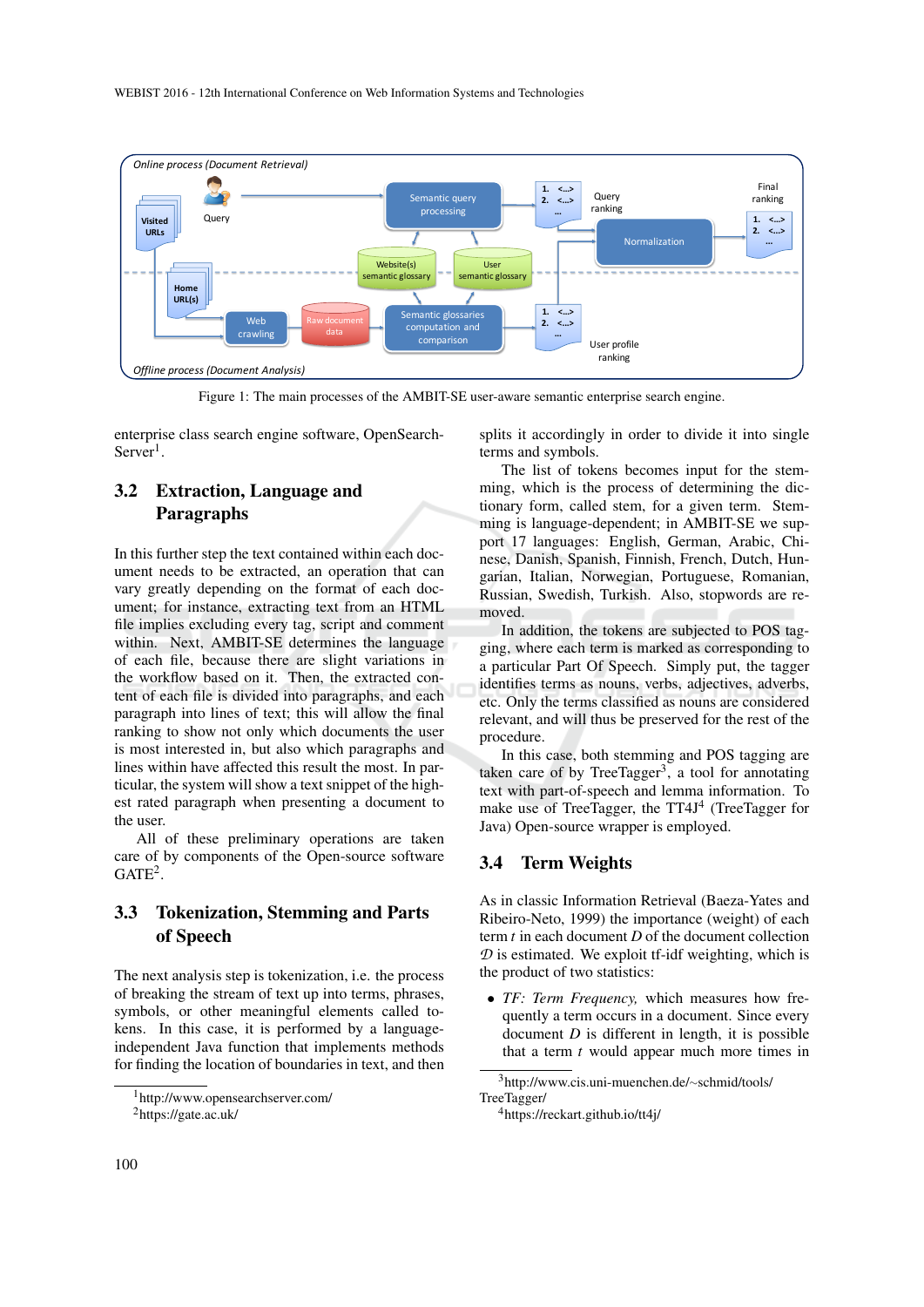

Figure 1: The main processes of the AMBIT-SE user-aware semantic enterprise search engine.

enterprise class search engine software, OpenSearch- $Server<sup>1</sup>$ .

## 3.2 Extraction, Language and Paragraphs

In this further step the text contained within each document needs to be extracted, an operation that can vary greatly depending on the format of each document; for instance, extracting text from an HTML file implies excluding every tag, script and comment within. Next, AMBIT-SE determines the language of each file, because there are slight variations in the workflow based on it. Then, the extracted content of each file is divided into paragraphs, and each paragraph into lines of text; this will allow the final ranking to show not only which documents the user is most interested in, but also which paragraphs and lines within have affected this result the most. In particular, the system will show a text snippet of the highest rated paragraph when presenting a document to the user.

All of these preliminary operations are taken care of by components of the Open-source software  $GATE<sup>2</sup>$ .

## 3.3 Tokenization, Stemming and Parts of Speech

The next analysis step is tokenization, i.e. the process of breaking the stream of text up into terms, phrases, symbols, or other meaningful elements called tokens. In this case, it is performed by a languageindependent Java function that implements methods for finding the location of boundaries in text, and then

splits it accordingly in order to divide it into single terms and symbols.

The list of tokens becomes input for the stemming, which is the process of determining the dictionary form, called stem, for a given term. Stemming is language-dependent; in AMBIT-SE we support 17 languages: English, German, Arabic, Chinese, Danish, Spanish, Finnish, French, Dutch, Hungarian, Italian, Norwegian, Portuguese, Romanian, Russian, Swedish, Turkish. Also, stopwords are removed.

In addition, the tokens are subjected to POS tagging, where each term is marked as corresponding to a particular Part Of Speech. Simply put, the tagger identifies terms as nouns, verbs, adjectives, adverbs, etc. Only the terms classified as nouns are considered relevant, and will thus be preserved for the rest of the procedure.

In this case, both stemming and POS tagging are taken care of by TreeTagger<sup>3</sup>, a tool for annotating text with part-of-speech and lemma information. To make use of TreeTagger, the TT4J<sup>4</sup> (TreeTagger for Java) Open-source wrapper is employed.

## 3.4 Term Weights

As in classic Information Retrieval (Baeza-Yates and Ribeiro-Neto, 1999) the importance (weight) of each term *t* in each document *D* of the document collection  $D$  is estimated. We exploit tf-idf weighting, which is the product of two statistics:

• *TF: Term Frequency,* which measures how frequently a term occurs in a document. Since every document *D* is different in length, it is possible that a term *t* would appear much more times in

<sup>1</sup>http://www.opensearchserver.com/

<sup>2</sup>https://gate.ac.uk/

<sup>3</sup>http://www.cis.uni-muenchen.de/∼schmid/tools/ TreeTagger/

<sup>4</sup>https://reckart.github.io/tt4j/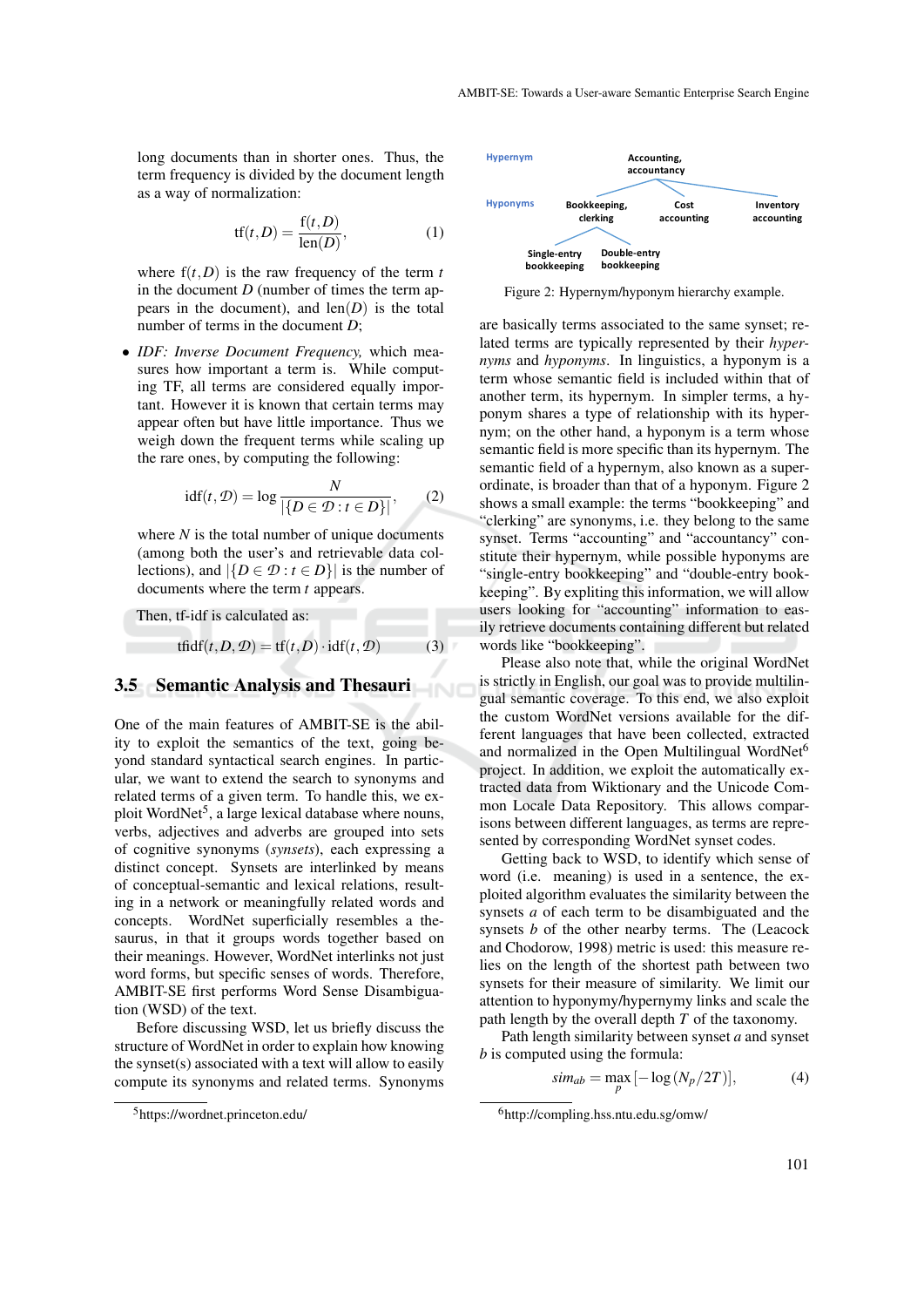long documents than in shorter ones. Thus, the term frequency is divided by the document length as a way of normalization:

$$
tf(t,D) = \frac{f(t,D)}{\text{len}(D)},
$$
\n(1)

where  $f(t, D)$  is the raw frequency of the term  $t$ in the document  $D$  (number of times the term appears in the document), and  $len(D)$  is the total number of terms in the document *D*;

• *IDF: Inverse Document Frequency,* which measures how important a term is. While computing TF, all terms are considered equally important. However it is known that certain terms may appear often but have little importance. Thus we weigh down the frequent terms while scaling up the rare ones, by computing the following:

$$
idf(t, \mathcal{D}) = \log \frac{N}{|\{D \in \mathcal{D} : t \in D\}|}, \qquad (2)
$$

where  $N$  is the total number of unique documents (among both the user's and retrievable data collections), and  $|\{D \in \mathcal{D} : t \in D\}|$  is the number of documents where the term *t* appears.

Then, tf-idf is calculated as:

$$
tfidf(t, D, D) = tf(t, D) \cdot idf(t, D)
$$
 (3)

#### 3.5 Semantic Analysis and Thesauri

One of the main features of AMBIT-SE is the ability to exploit the semantics of the text, going beyond standard syntactical search engines. In particular, we want to extend the search to synonyms and related terms of a given term. To handle this, we exploit WordNet<sup>5</sup>, a large lexical database where nouns, verbs, adjectives and adverbs are grouped into sets of cognitive synonyms (*synsets*), each expressing a distinct concept. Synsets are interlinked by means of conceptual-semantic and lexical relations, resulting in a network or meaningfully related words and concepts. WordNet superficially resembles a thesaurus, in that it groups words together based on their meanings. However, WordNet interlinks not just word forms, but specific senses of words. Therefore, AMBIT-SE first performs Word Sense Disambiguation (WSD) of the text.  $f(t, D) = \frac{f(t, D)}{f(t, D)}$  where  $f(t, D)$  is the raw frequency of the term  $I$  subsetempt best<br>in the document  $D$  causing the term  $I$  subsetempt best<br>in the document), and lend) is the total many propagation in the document

Before discussing WSD, let us briefly discuss the structure of WordNet in order to explain how knowing the synset(s) associated with a text will allow to easily compute its synonyms and related terms. Synonyms



Figure 2: Hypernym/hyponym hierarchy example.

are basically terms associated to the same synset; related terms are typically represented by their *hypernyms* and *hyponyms*. In linguistics, a hyponym is a term whose semantic field is included within that of another term, its hypernym. In simpler terms, a hyponym shares a type of relationship with its hypernym; on the other hand, a hyponym is a term whose semantic field is more specific than its hypernym. The semantic field of a hypernym, also known as a superordinate, is broader than that of a hyponym. Figure 2 shows a small example: the terms "bookkeeping" and "clerking" are synonyms, i.e. they belong to the same synset. Terms "accounting" and "accountancy" constitute their hypernym, while possible hyponyms are "single-entry bookkeeping" and "double-entry bookkeeping". By expliting this information, we will allow users looking for "accounting" information to easily retrieve documents containing different but related words like "bookkeeping".

Please also note that, while the original WordNet is strictly in English, our goal was to provide multilingual semantic coverage. To this end, we also exploit the custom WordNet versions available for the different languages that have been collected, extracted and normalized in the Open Multilingual WordNet<sup>6</sup> project. In addition, we exploit the automatically extracted data from Wiktionary and the Unicode Common Locale Data Repository. This allows comparisons between different languages, as terms are represented by corresponding WordNet synset codes.

Getting back to WSD, to identify which sense of word (i.e. meaning) is used in a sentence, the exploited algorithm evaluates the similarity between the synsets *a* of each term to be disambiguated and the synsets *b* of the other nearby terms. The (Leacock and Chodorow, 1998) metric is used: this measure relies on the length of the shortest path between two synsets for their measure of similarity. We limit our attention to hyponymy/hypernymy links and scale the path length by the overall depth *T* of the taxonomy.

Path length similarity between synset *a* and synset *b* is computed using the formula:

$$
sim_{ab} = \max_{p} \left[ -\log \left( N_p / 2T \right) \right],\tag{4}
$$

<sup>6</sup>http://compling.hss.ntu.edu.sg/omw/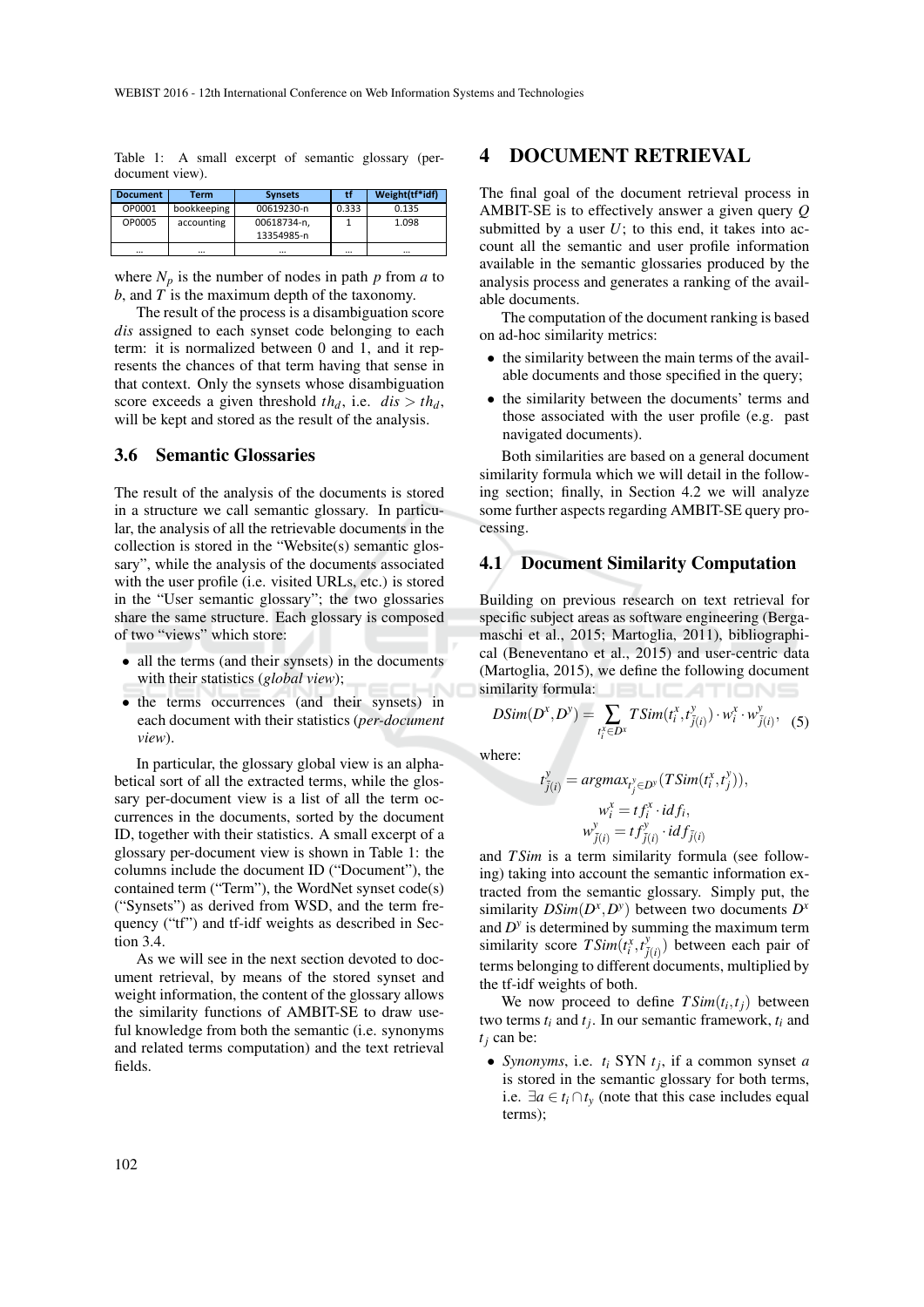| <b>Document</b> | Term        | <b>Synsets</b> | tf       | Weight(tf*idf) |  |
|-----------------|-------------|----------------|----------|----------------|--|
| OP0001          | bookkeeping | 00619230-n     | 0.333    | 0.135          |  |
| OP0005          | accounting  | 00618734-n.    |          | 1.098          |  |
|                 |             | 13354985-n     |          |                |  |
| $\cdots$        | $\cdots$    |                | $\cdots$ |                |  |

Table 1: A small excerpt of semantic glossary (perdocument view).

where  $N_p$  is the number of nodes in path  $p$  from  $a$  to *b*, and *T* is the maximum depth of the taxonomy.

The result of the process is a disambiguation score *dis* assigned to each synset code belonging to each term: it is normalized between 0 and 1, and it represents the chances of that term having that sense in that context. Only the synsets whose disambiguation score exceeds a given threshold  $th_d$ , i.e.  $dis > th_d$ , will be kept and stored as the result of the analysis.

### 3.6 Semantic Glossaries

The result of the analysis of the documents is stored in a structure we call semantic glossary. In particular, the analysis of all the retrievable documents in the collection is stored in the "Website(s) semantic glossary", while the analysis of the documents associated with the user profile (i.e. visited URLs, etc.) is stored in the "User semantic glossary"; the two glossaries share the same structure. Each glossary is composed of two "views" which store:

- all the terms (and their synsets) in the documents with their statistics (*global view*);
- the terms occurrences (and their synsets) in each document with their statistics (*per-document view*).

In particular, the glossary global view is an alphabetical sort of all the extracted terms, while the glossary per-document view is a list of all the term occurrences in the documents, sorted by the document ID, together with their statistics. A small excerpt of a glossary per-document view is shown in Table 1: the columns include the document ID ("Document"), the contained term ("Term"), the WordNet synset code(s) ("Synsets") as derived from WSD, and the term frequency ("tf") and tf-idf weights as described in Section 3.4.

As we will see in the next section devoted to document retrieval, by means of the stored synset and weight information, the content of the glossary allows the similarity functions of AMBIT-SE to draw useful knowledge from both the semantic (i.e. synonyms and related terms computation) and the text retrieval fields.

## 4 DOCUMENT RETRIEVAL

The final goal of the document retrieval process in AMBIT-SE is to effectively answer a given query *Q* submitted by a user  $U$ ; to this end, it takes into account all the semantic and user profile information available in the semantic glossaries produced by the analysis process and generates a ranking of the available documents.

The computation of the document ranking is based on ad-hoc similarity metrics:

- the similarity between the main terms of the available documents and those specified in the query;
- the similarity between the documents' terms and those associated with the user profile (e.g. past navigated documents).

Both similarities are based on a general document similarity formula which we will detail in the following section; finally, in Section 4.2 we will analyze some further aspects regarding AMBIT-SE query processing.

#### 4.1 Document Similarity Computation

Building on previous research on text retrieval for specific subject areas as software engineering (Bergamaschi et al., 2015; Martoglia, 2011), bibliographical (Beneventano et al., 2015) and user-centric data (Martoglia, 2015), we define the following document similarity formula: **BLICATIONS** 

$$
DSim(D^x, D^y) = \sum_{t_i^x \in D^x} TSim(t_i^x, t_{\tilde{j}(i)}^y) \cdot w_i^x \cdot w_{\tilde{j}(i)}^y, \quad (5)
$$

where:

$$
t_{\bar{j}(i)}^{\bar{y}} = \operatorname{argmax}_{t_j^y \in D^y} (T\operatorname{Sim}(t_i^x, t_j^y)),
$$
  

$$
w_i^x = t f_i^x \cdot idf_i,
$$
  

$$
w_{\bar{j}(i)}^y = t f_{\bar{j}(i)}^y \cdot idf_{\bar{j}(i)}
$$

and *T Sim* is a term similarity formula (see following) taking into account the semantic information extracted from the semantic glossary. Simply put, the similarity  $DSim(D^x, D^y)$  between two documents  $D^x$ and  $D<sup>y</sup>$  is determined by summing the maximum term similarity score  $T Sim(t_i^x, t_{\bar{j}(i)}^y)$  between each pair of terms belonging to different documents, multiplied by the tf-idf weights of both.

We now proceed to define  $TSim(t_i, t_j)$  between two terms  $t_i$  and  $t_j$ . In our semantic framework,  $t_i$  and  $t_i$  can be:

• *Synonyms*, i.e. *t<sup>i</sup>* SYN *t<sup>j</sup>* , if a common synset *a* is stored in the semantic glossary for both terms, i.e.  $\exists a \in t_i \cap t_y$  (note that this case includes equal terms);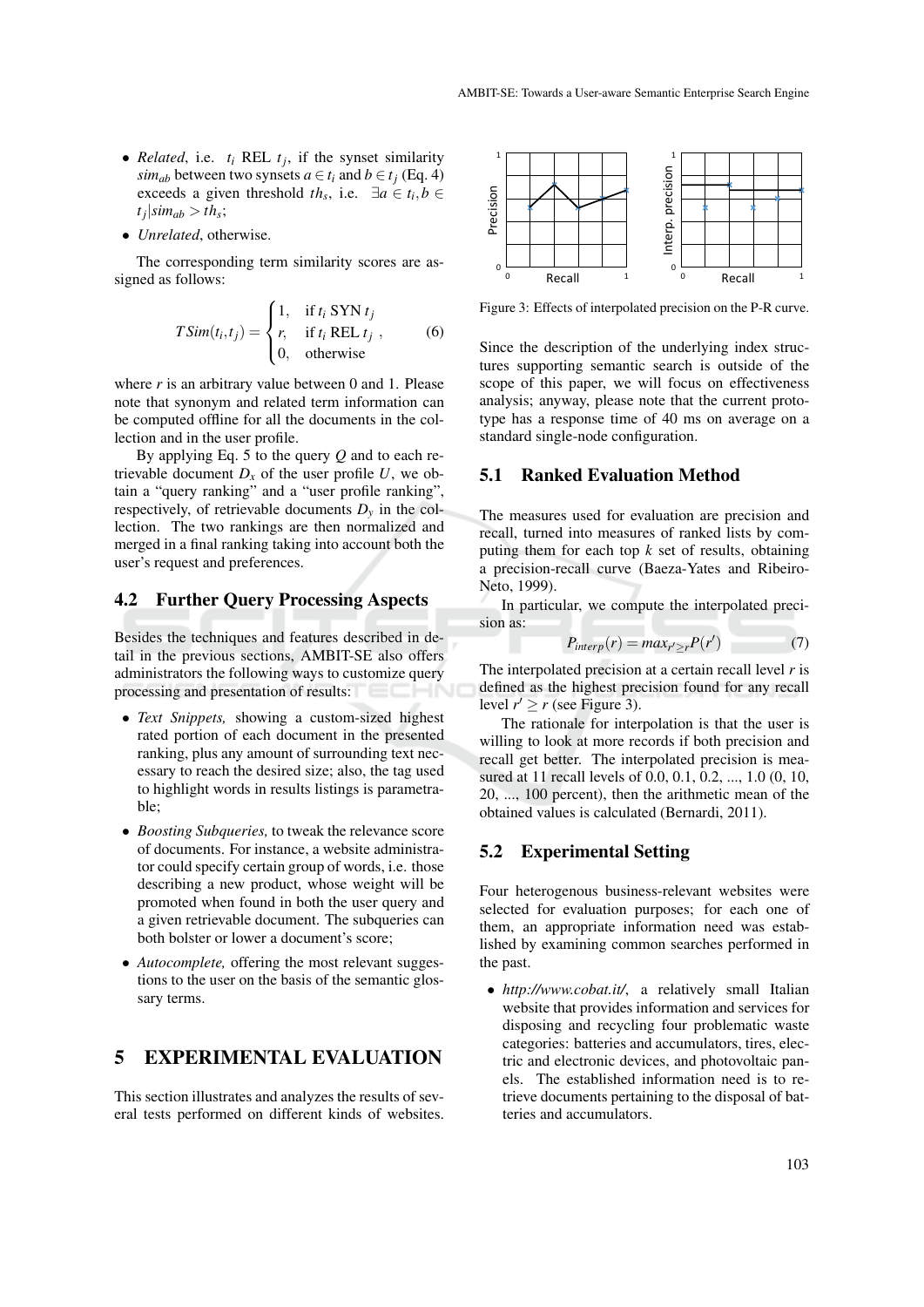- *Related*, i.e.  $t_i$  REL  $t_j$ , if the synset similarity *sim<sub>ab</sub>* between two synsets  $a \in t_i$  and  $b \in t_j$  (Eq. 4) exceeds a given threshold *th*<sub>*s*</sub>, i.e.  $\exists a \in t_i, b \in$  $|t_j| \sin n_{ab} > t h_s;$
- *Unrelated*, otherwise.

The corresponding term similarity scores are assigned as follows:

$$
TSim(t_i, t_j) = \begin{cases} 1, & \text{if } t_i \text{ SYN } t_j \\ r, & \text{if } t_i \text{ REL } t_j \\ 0, & \text{otherwise} \end{cases}
$$
 (6)

where *r* is an arbitrary value between 0 and 1. Please note that synonym and related term information can be computed offline for all the documents in the collection and in the user profile.

By applying Eq. 5 to the query *Q* and to each retrievable document  $D_x$  of the user profile  $U$ , we obtain a "query ranking" and a "user profile ranking", respectively, of retrievable documents  $D<sub>v</sub>$  in the collection. The two rankings are then normalized and merged in a final ranking taking into account both the user's request and preferences.

### 4.2 Further Query Processing Aspects

Besides the techniques and features described in detail in the previous sections, AMBIT-SE also offers administrators the following ways to customize query processing and presentation of results:

- *Text Snippets,* showing a custom-sized highest rated portion of each document in the presented ranking, plus any amount of surrounding text necessary to reach the desired size; also, the tag used to highlight words in results listings is parametrable;
- *Boosting Subqueries,* to tweak the relevance score of documents. For instance, a website administrator could specify certain group of words, i.e. those describing a new product, whose weight will be promoted when found in both the user query and a given retrievable document. The subqueries can both bolster or lower a document's score;
- *Autocomplete,* offering the most relevant suggestions to the user on the basis of the semantic glossary terms.

## 5 EXPERIMENTAL EVALUATION

This section illustrates and analyzes the results of several tests performed on different kinds of websites.



Figure 3: Effects of interpolated precision on the P-R curve.

Since the description of the underlying index structures supporting semantic search is outside of the scope of this paper, we will focus on effectiveness analysis; anyway, please note that the current prototype has a response time of 40 ms on average on a standard single-node configuration.

#### 5.1 Ranked Evaluation Method

The measures used for evaluation are precision and recall, turned into measures of ranked lists by computing them for each top  $k$  set of results, obtaining a precision-recall curve (Baeza-Yates and Ribeiro-Neto, 1999).

In particular, we compute the interpolated precision as:

$$
P_{interp}(r) = max_{r' \ge r} P(r')
$$
 (7)

The interpolated precision at a certain recall level *r* is defined as the highest precision found for any recall level  $r' \ge r$  (see Figure 3).

The rationale for interpolation is that the user is willing to look at more records if both precision and recall get better. The interpolated precision is measured at 11 recall levels of 0.0, 0.1, 0.2, ..., 1.0 (0, 10, 20, ..., 100 percent), then the arithmetic mean of the obtained values is calculated (Bernardi, 2011).

### 5.2 Experimental Setting

Four heterogenous business-relevant websites were selected for evaluation purposes; for each one of them, an appropriate information need was established by examining common searches performed in the past.

• *http://www.cobat.it/*, a relatively small Italian website that provides information and services for disposing and recycling four problematic waste categories: batteries and accumulators, tires, electric and electronic devices, and photovoltaic panels. The established information need is to retrieve documents pertaining to the disposal of batteries and accumulators.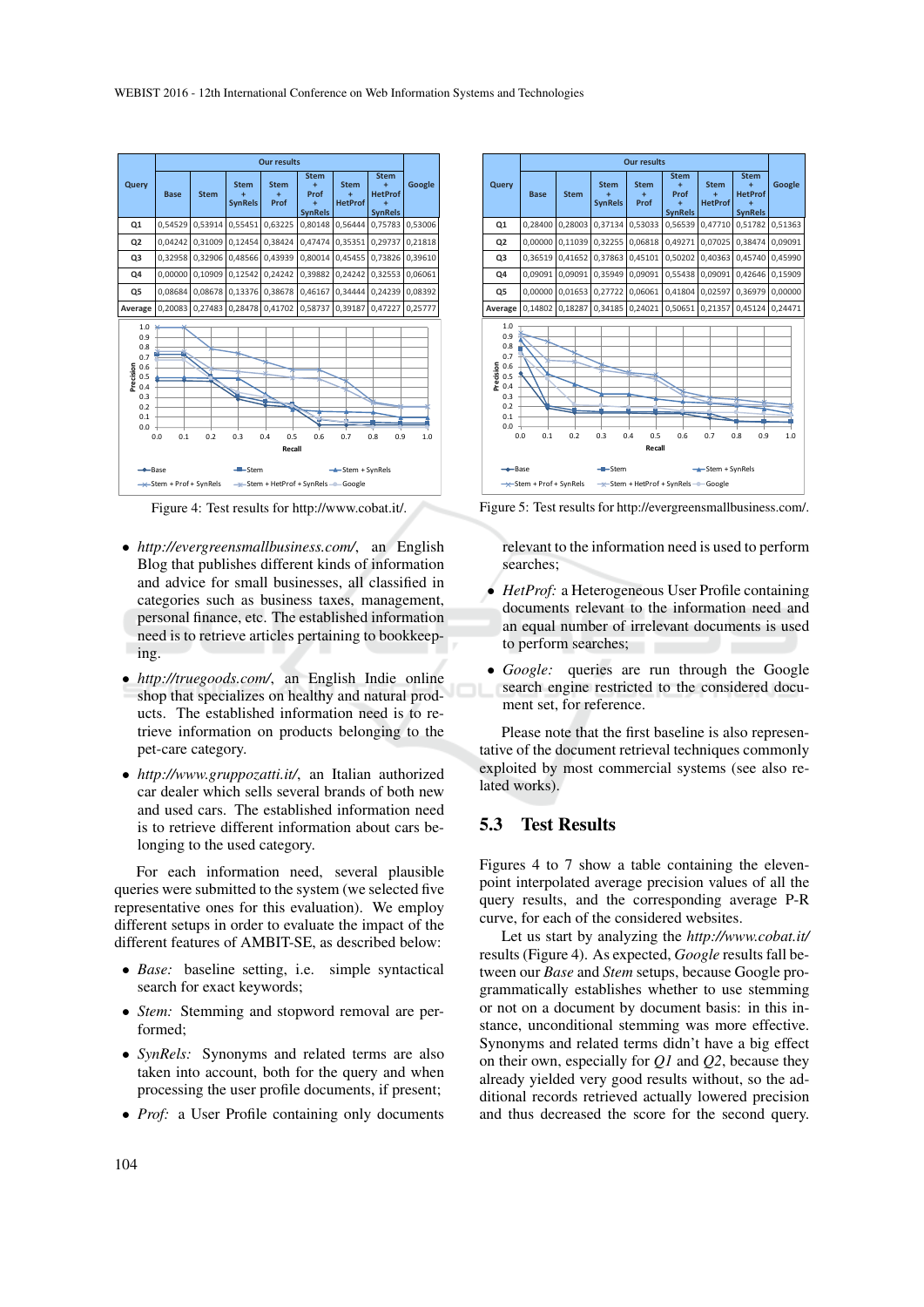|                                                                                                                                                                                                                                                                                                              | <b>Our results</b> |             |                                    |                          |                                                 |                               |                                                      |         |  |
|--------------------------------------------------------------------------------------------------------------------------------------------------------------------------------------------------------------------------------------------------------------------------------------------------------------|--------------------|-------------|------------------------------------|--------------------------|-------------------------------------------------|-------------------------------|------------------------------------------------------|---------|--|
| Query                                                                                                                                                                                                                                                                                                        | <b>Base</b>        | <b>Stem</b> | <b>Stem</b><br>÷<br><b>SynRels</b> | <b>Stem</b><br>÷<br>Prof | <b>Stem</b><br>÷<br>Prof<br>÷<br><b>SynRels</b> | <b>Stem</b><br><b>HetProf</b> | <b>Stem</b><br>÷<br><b>HetProf</b><br><b>SynRels</b> | Google  |  |
| Q1                                                                                                                                                                                                                                                                                                           | 0,54529            | 0,53914     | 0,55451                            | 0,63225                  | 0.80148                                         | 0,56444                       | 0,75783                                              | 0,53006 |  |
| Q <sub>2</sub>                                                                                                                                                                                                                                                                                               | 0,04242            | 0,31009     | 0,12454                            | 0.38424                  | 0.47474                                         | 0,35351                       | 0,29737                                              | 0,21818 |  |
| Q3                                                                                                                                                                                                                                                                                                           | 0.32958            | 0.32906     | 0.48566                            | 0.43939                  | 0.80014                                         | 0.45455                       | 0.73826                                              | 0.39610 |  |
| Q4                                                                                                                                                                                                                                                                                                           | 0,00000            | 0.10909     | 0,12542                            | 0.24242                  | 0.39882                                         | 0.24242                       | 0,32553                                              | 0,06061 |  |
| Q5                                                                                                                                                                                                                                                                                                           | 0.08684            | 0.08678     | 0.13376                            | 0.38678                  | 0.46167                                         | 0.34444                       | 0.24239                                              | 0,08392 |  |
| Average                                                                                                                                                                                                                                                                                                      | 0,20083            | 0,27483     | 0,28478                            | 0,41702                  | 0,58737                                         | 0,39187                       | 0,47227                                              | 0,25777 |  |
| 1.0<br>0.9<br>0.8<br>0.7<br>Precision<br>0.6<br>0.5<br>0.4<br>0.3<br>0.2<br>0.1<br>0.0<br>0.0<br>0.1<br>0.2<br>0.3<br>0.5<br>0.6<br>0.8<br>1.0<br>0.4<br>0.7<br>0.9<br>Recall<br>$-$ Base<br>$-$ -Stem<br>$-$ -Stem + SynRels<br>$\rightarrow$ Stem + Prof + SynRels<br>-* Stem + HetProf + SynRels - Google |                    |             |                                    |                          |                                                 |                               |                                                      |         |  |

Figure 4: Test results for http://www.cobat.it/.

- *http://evergreensmallbusiness.com/*, an English Blog that publishes different kinds of information and advice for small businesses, all classified in categories such as business taxes, management, personal finance, etc. The established information need is to retrieve articles pertaining to bookkeeping.
- *http://truegoods.com/*, an English Indie online shop that specializes on healthy and natural products. The established information need is to retrieve information on products belonging to the pet-care category.
- *http://www.gruppozatti.it/*, an Italian authorized car dealer which sells several brands of both new and used cars. The established information need is to retrieve different information about cars belonging to the used category.

For each information need, several plausible queries were submitted to the system (we selected five representative ones for this evaluation). We employ different setups in order to evaluate the impact of the different features of AMBIT-SE, as described below:

- *Base:* baseline setting, i.e. simple syntactical search for exact keywords;
- *Stem:* Stemming and stopword removal are performed;
- *SynRels:* Synonyms and related terms are also taken into account, both for the query and when processing the user profile documents, if present;
- *Prof:* a User Profile containing only documents



Figure 5: Test results for http://evergreensmallbusiness.com/.

relevant to the information need is used to perform searches;

- *HetProf:* a Heterogeneous User Profile containing documents relevant to the information need and an equal number of irrelevant documents is used to perform searches;
- *Google:* queries are run through the Google search engine restricted to the considered document set, for reference.

Please note that the first baseline is also representative of the document retrieval techniques commonly exploited by most commercial systems (see also related works).

### 5.3 Test Results

Figures 4 to 7 show a table containing the elevenpoint interpolated average precision values of all the query results, and the corresponding average P-R curve, for each of the considered websites.

Let us start by analyzing the *http://www.cobat.it/* results (Figure 4). As expected, *Google* results fall between our *Base* and *Stem* setups, because Google programmatically establishes whether to use stemming or not on a document by document basis: in this instance, unconditional stemming was more effective. Synonyms and related terms didn't have a big effect on their own, especially for *Q1* and *Q2*, because they already yielded very good results without, so the additional records retrieved actually lowered precision and thus decreased the score for the second query.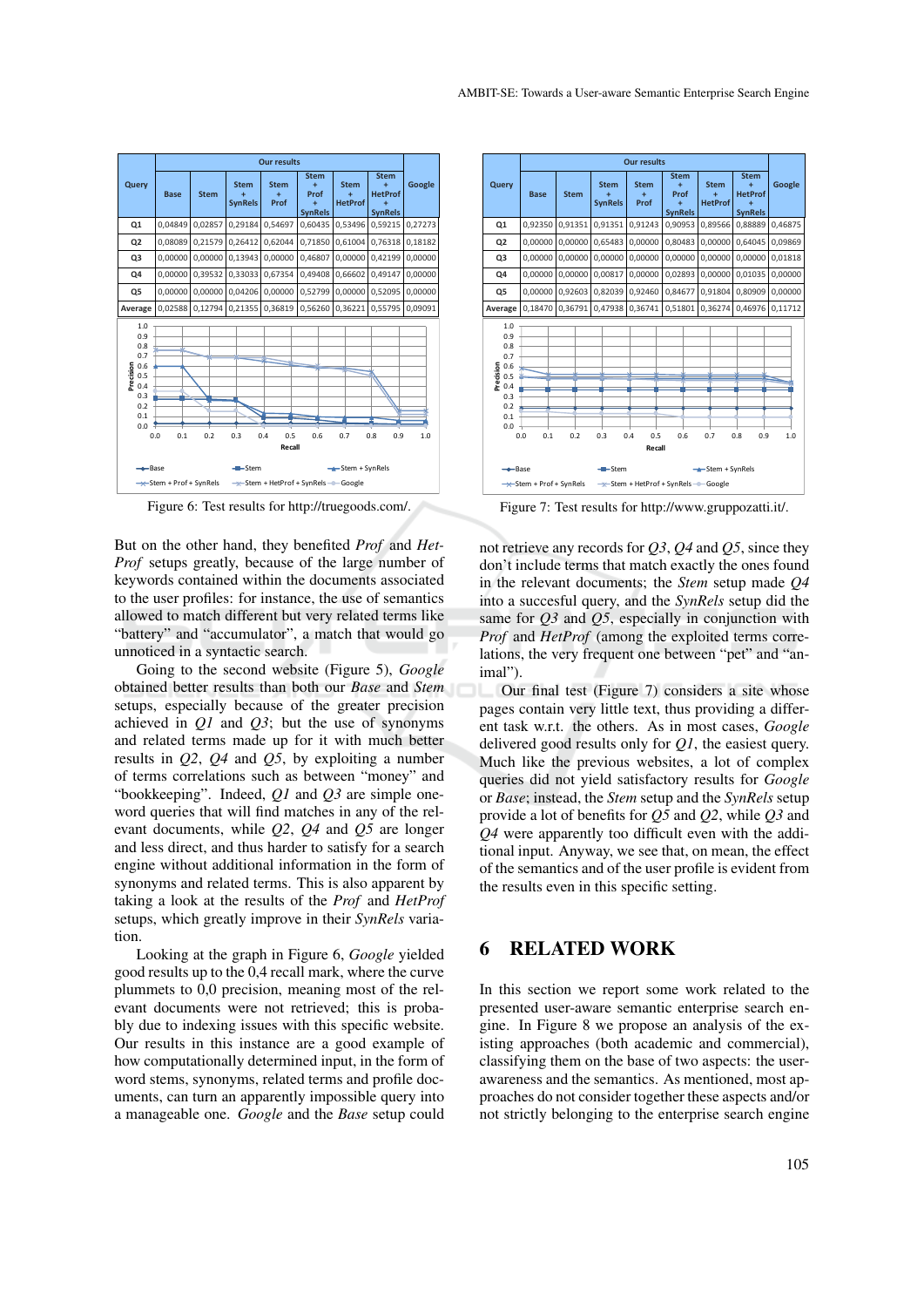

Figure 6: Test results for http://truegoods.com/.

But on the other hand, they benefited *Prof* and *Het-Prof* setups greatly, because of the large number of keywords contained within the documents associated to the user profiles: for instance, the use of semantics allowed to match different but very related terms like "battery" and "accumulator", a match that would go unnoticed in a syntactic search.

Going to the second website (Figure 5), *Google* obtained better results than both our *Base* and *Stem* setups, especially because of the greater precision achieved in *Q1* and *Q3*; but the use of synonyms and related terms made up for it with much better results in *Q2*, *Q4* and *Q5*, by exploiting a number of terms correlations such as between "money" and "bookkeeping". Indeed, *Q1* and *Q3* are simple oneword queries that will find matches in any of the relevant documents, while *Q2*, *Q4* and *Q5* are longer and less direct, and thus harder to satisfy for a search engine without additional information in the form of synonyms and related terms. This is also apparent by taking a look at the results of the *Prof* and *HetProf* setups, which greatly improve in their *SynRels* variation.

Looking at the graph in Figure 6, *Google* yielded good results up to the 0,4 recall mark, where the curve plummets to 0,0 precision, meaning most of the relevant documents were not retrieved; this is probably due to indexing issues with this specific website. Our results in this instance are a good example of how computationally determined input, in the form of word stems, synonyms, related terms and profile documents, can turn an apparently impossible query into a manageable one. *Google* and the *Base* setup could



Figure 7: Test results for http://www.gruppozatti.it/.

not retrieve any records for *Q3*, *Q4* and *Q5*, since they don't include terms that match exactly the ones found in the relevant documents; the *Stem* setup made *Q4* into a succesful query, and the *SynRels* setup did the same for *Q3* and *Q5*, especially in conjunction with *Prof* and *HetProf* (among the exploited terms correlations, the very frequent one between "pet" and "animal").

Our final test (Figure 7) considers a site whose pages contain very little text, thus providing a different task w.r.t. the others. As in most cases, *Google* delivered good results only for *Q1*, the easiest query. Much like the previous websites, a lot of complex queries did not yield satisfactory results for *Google* or *Base*; instead, the *Stem* setup and the *SynRels* setup provide a lot of benefits for *Q5* and *Q2*, while *Q3* and *Q4* were apparently too difficult even with the additional input. Anyway, we see that, on mean, the effect of the semantics and of the user profile is evident from the results even in this specific setting.

## 6 RELATED WORK

In this section we report some work related to the presented user-aware semantic enterprise search engine. In Figure 8 we propose an analysis of the existing approaches (both academic and commercial), classifying them on the base of two aspects: the userawareness and the semantics. As mentioned, most approaches do not consider together these aspects and/or not strictly belonging to the enterprise search engine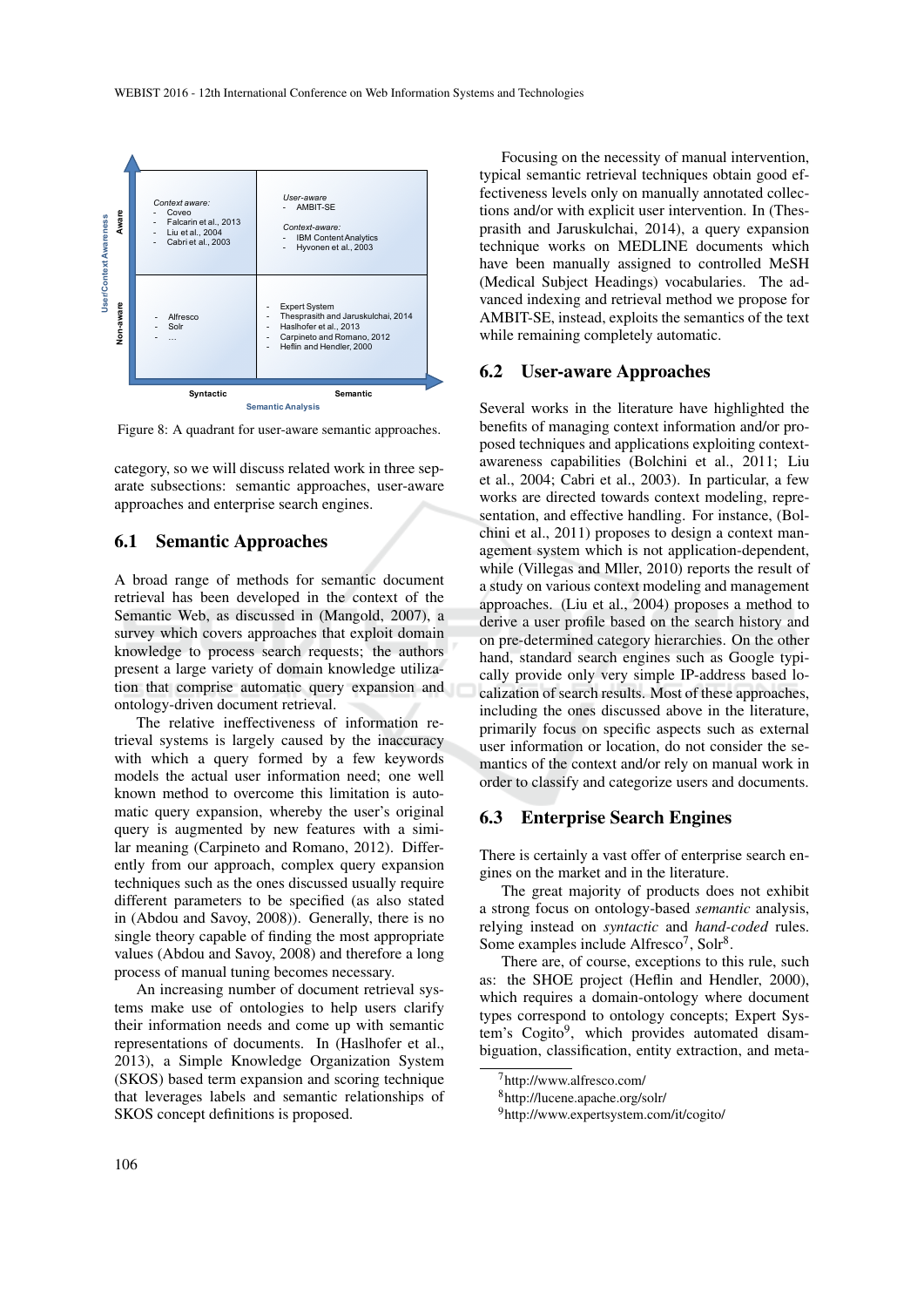

Figure 8: A quadrant for user-aware semantic approaches.

category, so we will discuss related work in three separate subsections: semantic approaches, user-aware approaches and enterprise search engines.

### 6.1 Semantic Approaches

A broad range of methods for semantic document retrieval has been developed in the context of the Semantic Web, as discussed in (Mangold, 2007), a survey which covers approaches that exploit domain knowledge to process search requests; the authors present a large variety of domain knowledge utilization that comprise automatic query expansion and ontology-driven document retrieval.

The relative ineffectiveness of information retrieval systems is largely caused by the inaccuracy with which a query formed by a few keywords models the actual user information need; one well known method to overcome this limitation is automatic query expansion, whereby the user's original query is augmented by new features with a similar meaning (Carpineto and Romano, 2012). Differently from our approach, complex query expansion techniques such as the ones discussed usually require different parameters to be specified (as also stated in (Abdou and Savoy, 2008)). Generally, there is no single theory capable of finding the most appropriate values (Abdou and Savoy, 2008) and therefore a long process of manual tuning becomes necessary.

An increasing number of document retrieval systems make use of ontologies to help users clarify their information needs and come up with semantic representations of documents. In (Haslhofer et al., 2013), a Simple Knowledge Organization System (SKOS) based term expansion and scoring technique that leverages labels and semantic relationships of SKOS concept definitions is proposed.

Focusing on the necessity of manual intervention, typical semantic retrieval techniques obtain good effectiveness levels only on manually annotated collections and/or with explicit user intervention. In (Thesprasith and Jaruskulchai, 2014), a query expansion technique works on MEDLINE documents which have been manually assigned to controlled MeSH (Medical Subject Headings) vocabularies. The advanced indexing and retrieval method we propose for AMBIT-SE, instead, exploits the semantics of the text while remaining completely automatic.

### 6.2 User-aware Approaches

Several works in the literature have highlighted the benefits of managing context information and/or proposed techniques and applications exploiting contextawareness capabilities (Bolchini et al., 2011; Liu et al., 2004; Cabri et al., 2003). In particular, a few works are directed towards context modeling, representation, and effective handling. For instance, (Bolchini et al., 2011) proposes to design a context management system which is not application-dependent, while (Villegas and Mller, 2010) reports the result of a study on various context modeling and management approaches. (Liu et al., 2004) proposes a method to derive a user profile based on the search history and on pre-determined category hierarchies. On the other hand, standard search engines such as Google typically provide only very simple IP-address based localization of search results. Most of these approaches, including the ones discussed above in the literature, primarily focus on specific aspects such as external user information or location, do not consider the semantics of the context and/or rely on manual work in order to classify and categorize users and documents.

#### 6.3 Enterprise Search Engines

There is certainly a vast offer of enterprise search engines on the market and in the literature.

The great majority of products does not exhibit a strong focus on ontology-based *semantic* analysis, relying instead on *syntactic* and *hand-coded* rules. Some examples include Alfresco<sup>7</sup>, Solr<sup>8</sup>.

There are, of course, exceptions to this rule, such as: the SHOE project (Heflin and Hendler, 2000), which requires a domain-ontology where document types correspond to ontology concepts; Expert System's Cogito<sup>9</sup>, which provides automated disambiguation, classification, entity extraction, and meta-

<sup>7</sup>http://www.alfresco.com/

<sup>8</sup>http://lucene.apache.org/solr/

<sup>9</sup>http://www.expertsystem.com/it/cogito/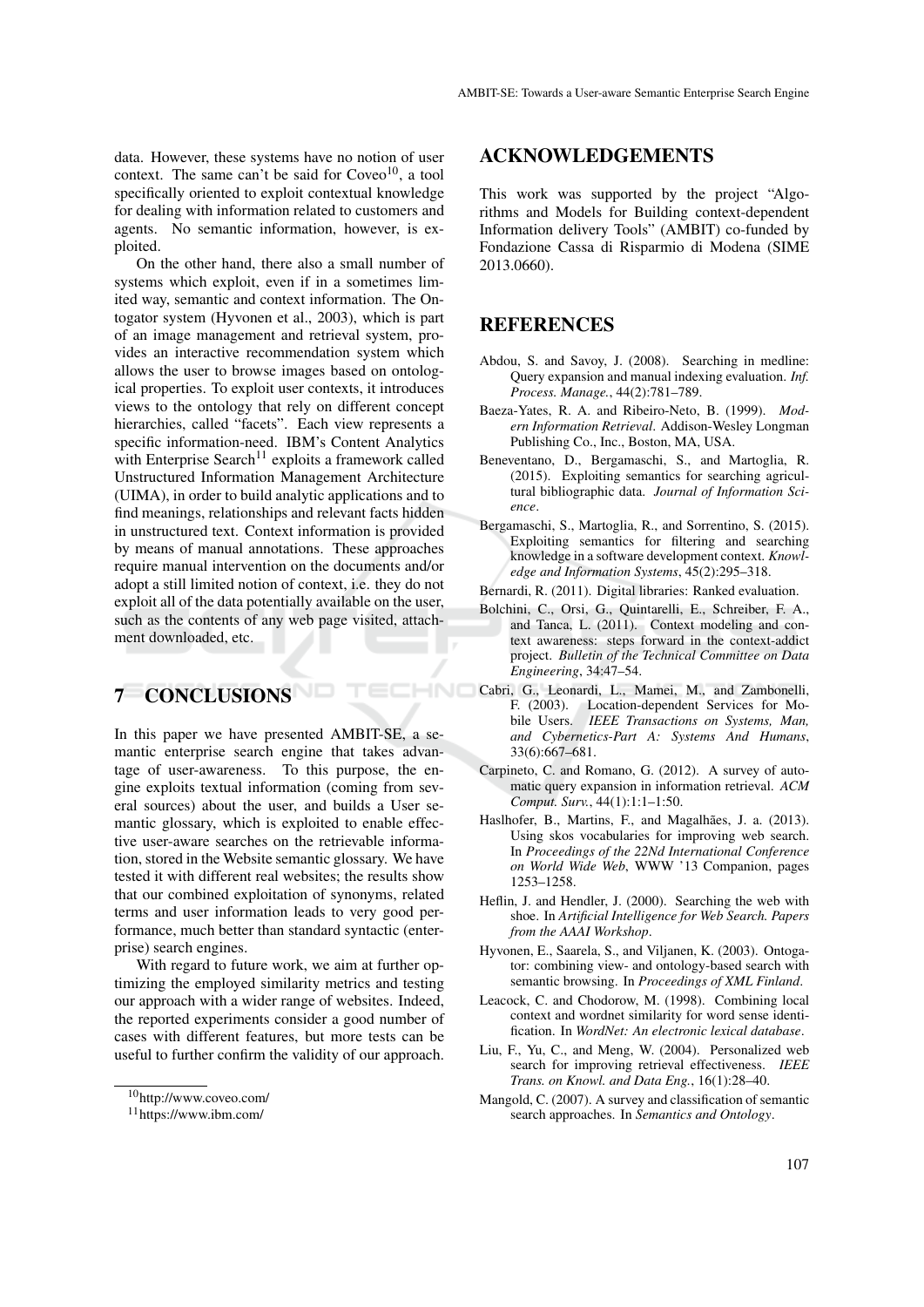data. However, these systems have no notion of user context. The same can't be said for  $Coveo<sup>10</sup>$ , a tool specifically oriented to exploit contextual knowledge for dealing with information related to customers and agents. No semantic information, however, is exploited.

On the other hand, there also a small number of systems which exploit, even if in a sometimes limited way, semantic and context information. The Ontogator system (Hyvonen et al., 2003), which is part of an image management and retrieval system, provides an interactive recommendation system which allows the user to browse images based on ontological properties. To exploit user contexts, it introduces views to the ontology that rely on different concept hierarchies, called "facets". Each view represents a specific information-need. IBM's Content Analytics with Enterprise Search<sup>11</sup> exploits a framework called Unstructured Information Management Architecture (UIMA), in order to build analytic applications and to find meanings, relationships and relevant facts hidden in unstructured text. Context information is provided by means of manual annotations. These approaches require manual intervention on the documents and/or adopt a still limited notion of context, i.e. they do not exploit all of the data potentially available on the user, such as the contents of any web page visited, attachment downloaded, etc.

# 7 CONCLUSIONS

In this paper we have presented AMBIT-SE, a semantic enterprise search engine that takes advantage of user-awareness. To this purpose, the engine exploits textual information (coming from several sources) about the user, and builds a User semantic glossary, which is exploited to enable effective user-aware searches on the retrievable information, stored in the Website semantic glossary. We have tested it with different real websites; the results show that our combined exploitation of synonyms, related terms and user information leads to very good performance, much better than standard syntactic (enterprise) search engines.

With regard to future work, we aim at further optimizing the employed similarity metrics and testing our approach with a wider range of websites. Indeed, the reported experiments consider a good number of cases with different features, but more tests can be useful to further confirm the validity of our approach.

### ACKNOWLEDGEMENTS

This work was supported by the project "Algorithms and Models for Building context-dependent Information delivery Tools" (AMBIT) co-funded by Fondazione Cassa di Risparmio di Modena (SIME 2013.0660).

### REFERENCES

- Abdou, S. and Savoy, J. (2008). Searching in medline: Query expansion and manual indexing evaluation. *Inf. Process. Manage.*, 44(2):781–789.
- Baeza-Yates, R. A. and Ribeiro-Neto, B. (1999). *Modern Information Retrieval*. Addison-Wesley Longman Publishing Co., Inc., Boston, MA, USA.
- Beneventano, D., Bergamaschi, S., and Martoglia, R. (2015). Exploiting semantics for searching agricultural bibliographic data. *Journal of Information Science*.
- Bergamaschi, S., Martoglia, R., and Sorrentino, S. (2015). Exploiting semantics for filtering and searching knowledge in a software development context. *Knowledge and Information Systems*, 45(2):295–318.
- Bernardi, R. (2011). Digital libraries: Ranked evaluation.
- Bolchini, C., Orsi, G., Quintarelli, E., Schreiber, F. A., and Tanca, L. (2011). Context modeling and context awareness: steps forward in the context-addict project. *Bulletin of the Technical Committee on Data Engineering*, 34:47–54.
- Cabri, G., Leonardi, L., Mamei, M., and Zambonelli, F. (2003). Location-dependent Services for Mobile Users. *IEEE Transactions on Systems, Man, and Cybernetics-Part A: Systems And Humans*, 33(6):667–681.
	- Carpineto, C. and Romano, G. (2012). A survey of automatic query expansion in information retrieval. *ACM Comput. Surv.*, 44(1):1:1–1:50.
	- Haslhofer, B., Martins, F., and Magalhães, J. a. (2013). Using skos vocabularies for improving web search. In *Proceedings of the 22Nd International Conference on World Wide Web*, WWW '13 Companion, pages 1253–1258.
	- Heflin, J. and Hendler, J. (2000). Searching the web with shoe. In *Artificial Intelligence for Web Search. Papers from the AAAI Workshop*.
	- Hyvonen, E., Saarela, S., and Viljanen, K. (2003). Ontogator: combining view- and ontology-based search with semantic browsing. In *Proceedings of XML Finland*.
	- Leacock, C. and Chodorow, M. (1998). Combining local context and wordnet similarity for word sense identification. In *WordNet: An electronic lexical database*.
	- Liu, F., Yu, C., and Meng, W. (2004). Personalized web search for improving retrieval effectiveness. *IEEE Trans. on Knowl. and Data Eng.*, 16(1):28–40.
	- Mangold, C. (2007). A survey and classification of semantic search approaches. In *Semantics and Ontology*.

<sup>10</sup>http://www.coveo.com/

<sup>11</sup>https://www.ibm.com/